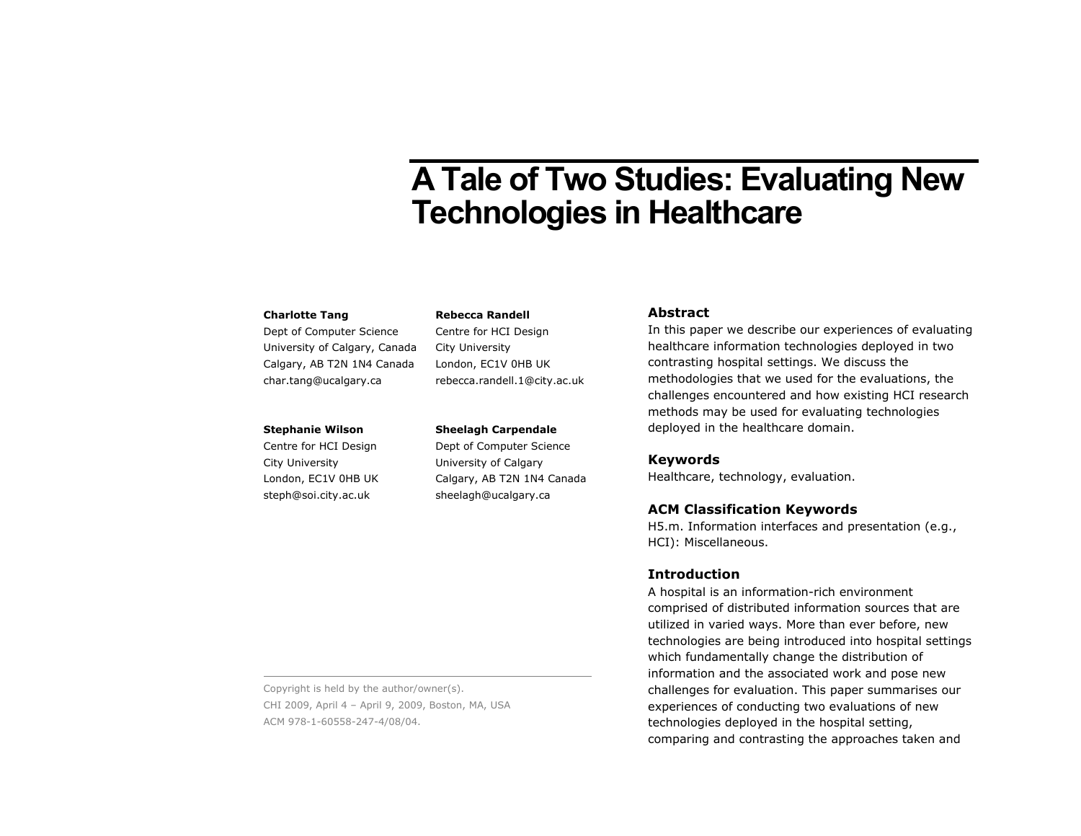# **A Tale of Two Studies: Evaluating New Technologies in Healthcare**

#### **Charlotte Tang**

Dept of Computer Science University of Calgary, Canada Calgary, AB T2N 1N4 Canada char.tang@ucalgary.ca

#### **Stephanie Wilson**

Centre for HCI Design City University London, EC1V 0HB UK steph@soi.city.ac.uk

## **Rebecca Randell**

Centre for HCI Design City University London, EC1V 0HB UK rebecca.randell.1@city.ac.uk

#### **Sheelagh Carpendale**

Dept of Computer Science University of Calgary Calgary, AB T2N 1N4 Canada sheelagh@ucalgary.ca

#### **Abstract**

In this paper we describe our experiences of evaluating healthcare information technologies deployed in two contrasting hospital settings. We discuss the methodologies that we used for the evaluations, the challenges encountered and how existing HCI research methods may be used for evaluating technologies deployed in the healthcare domain.

## **Keywords**

Healthcare, technology, evaluation.

## **ACM Classification Keywords**

H5.m. Information interfaces and presentation (e.g., HCI): Miscellaneous.

## **Introduction**

A hospital is an information-rich environment comprised of distributed information sources that are utilized in varied ways. More than ever before, new technologies are being introduced into hospital settings which fundamentally change the distribution of information and the associated work and pose new challenges for evaluation. This paper summarises our experiences of conducting two evaluations of new technologies deployed in the hospital setting, comparing and contrasting the approaches taken and

Copyright is held by the author/owner(s). CHI 2009, April 4 – April 9, 2009, Boston, MA, USA ACM 978-1-60558-247-4/08/04.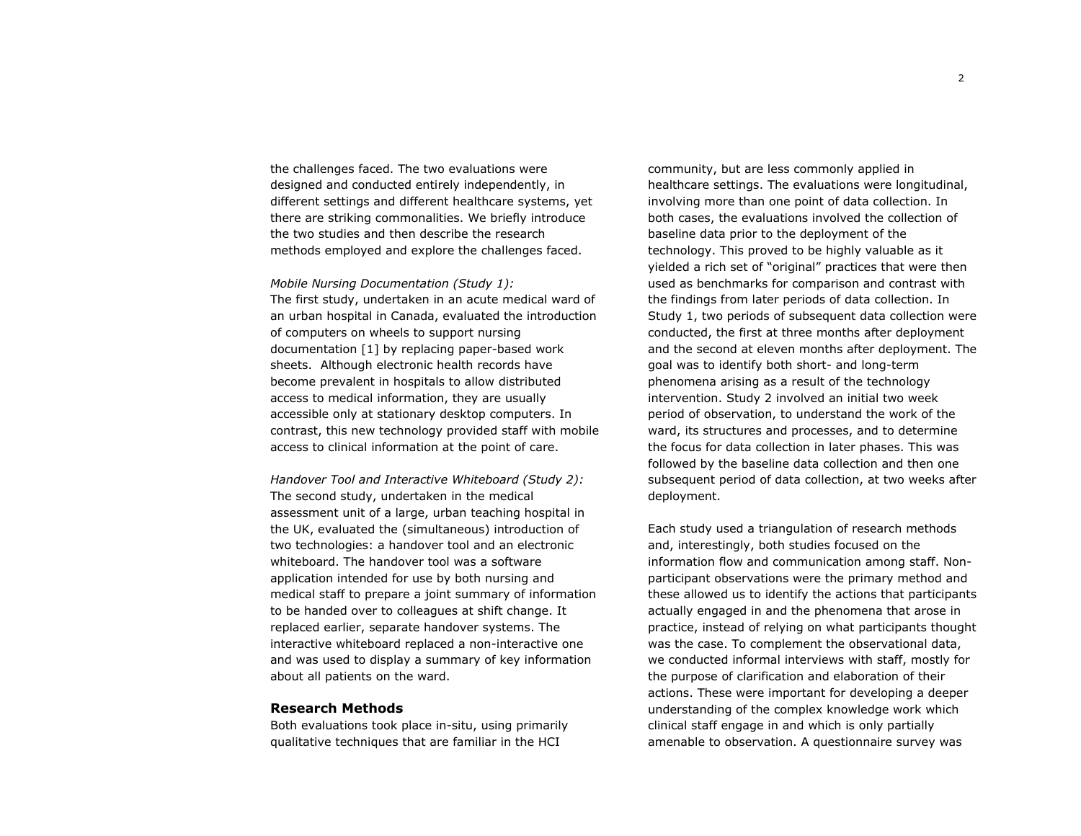the challenges faced. The two evaluations were designed and conducted entirely independently, in different settings and different healthcare systems, yet there are striking commonalities. We briefly introduce the two studies and then describe the research methods employed and explore the challenges faced.

*Mobile Nursing Documentation (Study 1):*  The first study, undertaken in an acute medical ward of an urban hospital in Canada, evaluated the introduction of computers on wheels to support nursing documentation [1] by replacing paper-based work sheets. Although electronic health records have become prevalent in hospitals to allow distributed access to medical information, they are usually accessible only at stationary desktop computers. In contrast, this new technology provided staff with mobile access to clinical information at the point of care.

*Handover Tool and Interactive Whiteboard (Study 2):*  The second study, undertaken in the medical assessment unit of a large, urban teaching hospital in the UK, evaluated the (simultaneous) introduction of two technologies: a handover tool and an electronic whiteboard. The handover tool was a software application intended for use by both nursing and medical staff to prepare a joint summary of information to be handed over to colleagues at shift change. It replaced earlier, separate handover systems. The interactive whiteboard replaced a non-interactive one and was used to display a summary of key information about all patients on the ward.

#### **Research Methods**

Both evaluations took place in-situ, using primarily qualitative techniques that are familiar in the HCI

community, but are less commonly applied in healthcare settings. The evaluations were longitudinal, involving more than one point of data collection. In both cases, the evaluations involved the collection of baseline data prior to the deployment of the technology. This proved to be highly valuable as it yielded a rich set of "original" practices that were then used as benchmarks for comparison and contrast with the findings from later periods of data collection. In Study 1, two periods of subsequent data collection were conducted, the first at three months after deployment and the second at eleven months after deployment. The goal was to identify both short- and long-term phenomena arising as a result of the technology intervention. Study 2 involved an initial two week period of observation, to understand the work of the ward, its structures and processes, and to determine the focus for data collection in later phases. This was followed by the baseline data collection and then one subsequent period of data collection, at two weeks after deployment.

Each study used a triangulation of research methods and, interestingly, both studies focused on the information flow and communication among staff. Nonparticipant observations were the primary method and these allowed us to identify the actions that participants actually engaged in and the phenomena that arose in practice, instead of relying on what participants thought was the case. To complement the observational data, we conducted informal interviews with staff, mostly for the purpose of clarification and elaboration of their actions. These were important for developing a deeper understanding of the complex knowledge work which clinical staff engage in and which is only partially amenable to observation. A questionnaire survey was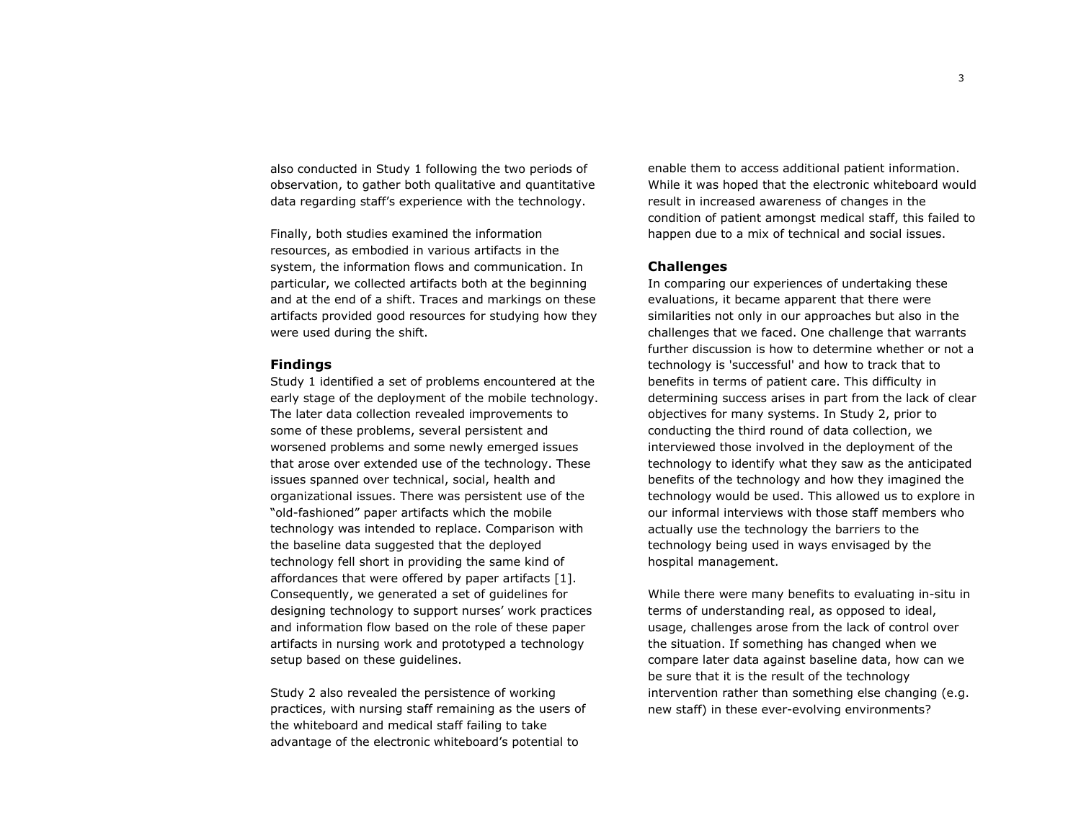also conducted in Study 1 following the two periods of observation, to gather both qualitative and quantitative data regarding staff's experience with the technology.

Finally, both studies examined the information resources, as embodied in various artifacts in the system, the information flows and communication. In particular, we collected artifacts both at the beginning and at the end of a shift. Traces and markings on these artifacts provided good resources for studying how they were used during the shift.

#### **Findings**

Study 1 identified a set of problems encountered at the early stage of the deployment of the mobile technology. The later data collection revealed improvements to some of these problems, several persistent and worsened problems and some newly emerged issues that arose over extended use of the technology. These issues spanned over technical, social, health and organizational issues. There was persistent use of the "old-fashioned" paper artifacts which the mobile technology was intended to replace. Comparison with the baseline data suggested that the deployed technology fell short in providing the same kind of affordances that were offered by paper artifacts [1]. Consequently, we generated a set of guidelines for designing technology to support nurses' work practices and information flow based on the role of these paper artifacts in nursing work and prototyped a technology setup based on these guidelines.

Study 2 also revealed the persistence of working practices, with nursing staff remaining as the users of the whiteboard and medical staff failing to take advantage of the electronic whiteboard's potential to

enable them to access additional patient information. While it was hoped that the electronic whiteboard would result in increased awareness of changes in the condition of patient amongst medical staff, this failed to happen due to a mix of technical and social issues.

## **Challenges**

In comparing our experiences of undertaking these evaluations, it became apparent that there were similarities not only in our approaches but also in the challenges that we faced. One challenge that warrants further discussion is how to determine whether or not a technology is 'successful' and how to track that to benefits in terms of patient care. This difficulty in determining success arises in part from the lack of clear objectives for many systems. In Study 2, prior to conducting the third round of data collection, we interviewed those involved in the deployment of the technology to identify what they saw as the anticipated benefits of the technology and how they imagined the technology would be used. This allowed us to explore in our informal interviews with those staff members who actually use the technology the barriers to the technology being used in ways envisaged by the hospital management.

While there were many benefits to evaluating in-situ in terms of understanding real, as opposed to ideal, usage, challenges arose from the lack of control over the situation. If something has changed when we compare later data against baseline data, how can we be sure that it is the result of the technology intervention rather than something else changing (e.g. new staff) in these ever-evolving environments?